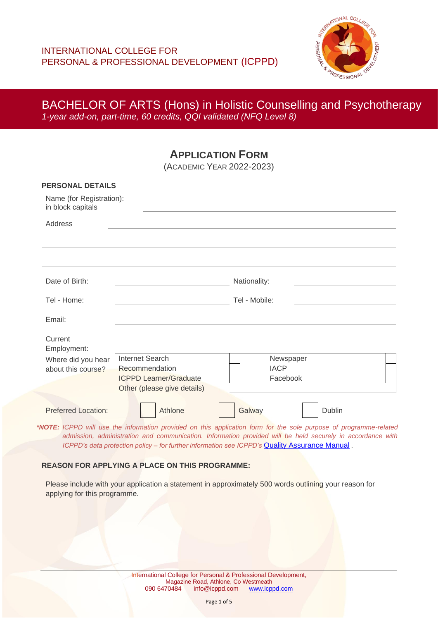

**APPLICATION FORM**

(ACADEMIC YEAR 2022-2023)

| <b>PERSONAL DETAILS</b><br>Name (for Registration):<br>in block capitals<br>Address |                                                                                                                   |               |        |  |
|-------------------------------------------------------------------------------------|-------------------------------------------------------------------------------------------------------------------|---------------|--------|--|
|                                                                                     |                                                                                                                   |               |        |  |
| Date of Birth:                                                                      |                                                                                                                   | Nationality:  |        |  |
| Tel - Home:                                                                         |                                                                                                                   | Tel - Mobile: |        |  |
| Email:                                                                              |                                                                                                                   |               |        |  |
| Current<br>Employment:                                                              |                                                                                                                   |               |        |  |
| Where did you hear                                                                  | <b>Internet Search</b>                                                                                            | Newspaper     |        |  |
| about this course?                                                                  | Recommendation                                                                                                    | <b>IACP</b>   |        |  |
|                                                                                     | <b>ICPPD Learner/Graduate</b>                                                                                     | Facebook      |        |  |
|                                                                                     | Other (please give details)                                                                                       |               |        |  |
| <b>Preferred Location:</b>                                                          | Athlone                                                                                                           | Galway        | Dublin |  |
|                                                                                     | *NOTE: ICPPD will use the information provided on this application form for the sole purpose of programme-related |               |        |  |

*admission, administration and communication. Information provided will be held securely in accordance with ICPPD's data protection policy – for further information see ICPPD's [Quality Assurance Manual](https://icppd.com/quality-assurance-at-icppd/) .* 

#### **REASON FOR APPLYING A PLACE ON THIS PROGRAMME:**

Please include with your application a statement in approximately 500 words outlining your reason for applying for this programme.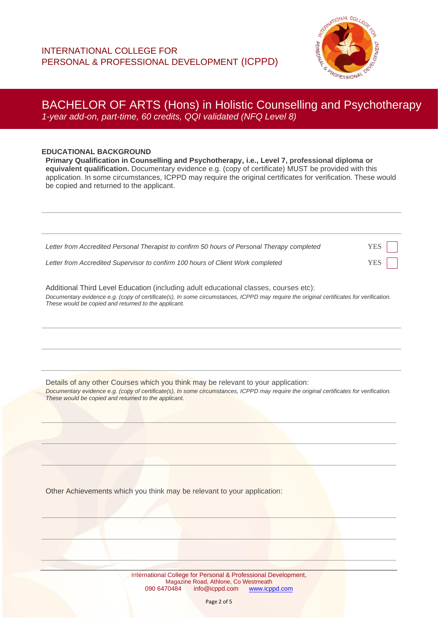

#### **EDUCATIONAL BACKGROUND**

**Primary Qualification in Counselling and Psychotherapy, i.e., Level 7, professional diploma or equivalent qualification.** Documentary evidence e.g. (copy of certificate) MUST be provided with this application. In some circumstances, ICPPD may require the original certificates for verification. These would be copied and returned to the applicant.

| Letter from Accredited Personal Therapist to confirm 50 hours of Personal Therapy completed | YES |
|---------------------------------------------------------------------------------------------|-----|
| Letter from Accredited Supervisor to confirm 100 hours of Client Work completed             | YES |

Additional Third Level Education (including adult educational classes, courses etc): *Documentary evidence e.g. (copy of certificate(s), In some circumstances, ICPPD may require the original certificates for verification. These would be copied and returned to the applicant.*

Details of any other Courses which you think may be relevant to your application: *Documentary evidence e.g. (copy of certificate(s), In some circumstances, ICPPD may require the original certificates for verification. These would be copied and returned to the applicant.*

Other Achievements which you think may be relevant to your application: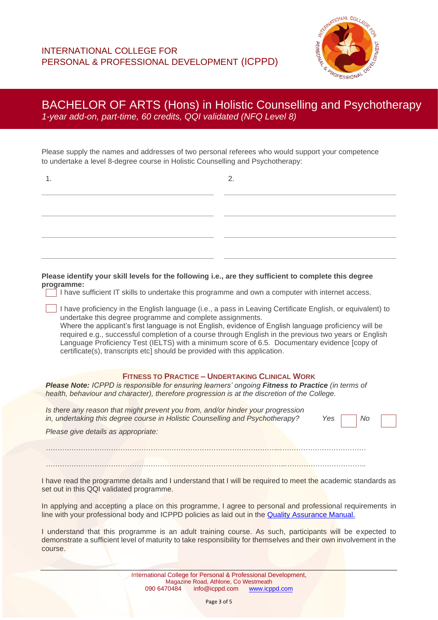

Please supply the names and addresses of two personal referees who would support your competence to undertake a level 8-degree course in Holistic Counselling and Psychotherapy:

| 1.                                                                                                                                                                                                                                                          | 2.                                                                                                                                                                                                                                                                                                                           |
|-------------------------------------------------------------------------------------------------------------------------------------------------------------------------------------------------------------------------------------------------------------|------------------------------------------------------------------------------------------------------------------------------------------------------------------------------------------------------------------------------------------------------------------------------------------------------------------------------|
|                                                                                                                                                                                                                                                             |                                                                                                                                                                                                                                                                                                                              |
|                                                                                                                                                                                                                                                             |                                                                                                                                                                                                                                                                                                                              |
|                                                                                                                                                                                                                                                             |                                                                                                                                                                                                                                                                                                                              |
|                                                                                                                                                                                                                                                             |                                                                                                                                                                                                                                                                                                                              |
| Please identify your skill levels for the following i.e., are they sufficient to complete this degree<br>programme:<br>I have sufficient IT skills to undertake this programme and own a computer with internet access.                                     |                                                                                                                                                                                                                                                                                                                              |
| undertake this degree programme and complete assignments.<br>Language Proficiency Test (IELTS) with a minimum score of 6.5. Documentary evidence [copy of<br>certificate(s), transcripts etc] should be provided with this application.                     | I have proficiency in the English language (i.e., a pass in Leaving Certificate English, or equivalent) to<br>Where the applicant's first language is not English, evidence of English language proficiency will be<br>required e.g., successful completion of a course through English in the previous two years or English |
| <b>FITNESS TO PRACTICE - UNDERTAKING CLINICAL WORK</b><br>Please Note: ICPPD is responsible for ensuring learners' ongoing Fitness to Practice (in terms of<br>health, behaviour and character), therefore progression is at the discretion of the College. |                                                                                                                                                                                                                                                                                                                              |
| Is there any reason that might prevent you from, and/or hinder your progression<br>in, undertaking this degree course in Holistic Counselling and Psychotherapy?                                                                                            | Yes<br>No                                                                                                                                                                                                                                                                                                                    |
| Please give details as appropriate:                                                                                                                                                                                                                         |                                                                                                                                                                                                                                                                                                                              |
|                                                                                                                                                                                                                                                             |                                                                                                                                                                                                                                                                                                                              |
| I have read the programme details and I understand that I will be required to meet the academic standards as<br>set out in this QQI validated programme.                                                                                                    |                                                                                                                                                                                                                                                                                                                              |
| In applying and accepting a place on this programme, I agree to personal and professional requirements in<br>line with your professional body and ICPPD policies as laid out in the Quality Assurance Manual.                                               |                                                                                                                                                                                                                                                                                                                              |

I understand that this programme is an adult training course. As such, participants will be expected to demonstrate a sufficient level of maturity to take responsibility for themselves and their own involvement in the course.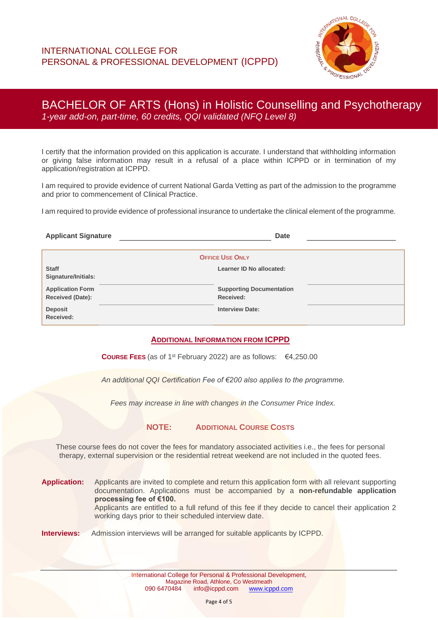

I certify that the information provided on this application is accurate. I understand that withholding information or giving false information may result in a refusal of a place within ICPPD or in termination of my application/registration at ICPPD.

I am required to provide evidence of current National Garda Vetting as part of the admission to the programme and prior to commencement of Clinical Practice.

I am required to provide evidence of professional insurance to undertake the clinical element of the programme.

| <b>Applicant Signature</b>                  | <b>Date</b>                                  |  |  |  |
|---------------------------------------------|----------------------------------------------|--|--|--|
| <b>OFFICE USE ONLY</b>                      |                                              |  |  |  |
| <b>Staff</b><br>Signature/Initials:         | Learner ID No allocated:                     |  |  |  |
| <b>Application Form</b><br>Received (Date): | <b>Supporting Documentation</b><br>Received: |  |  |  |
| <b>Deposit</b><br>Received:                 | <b>Interview Date:</b>                       |  |  |  |

#### **ADDITIONAL INFORMATION FROM ICPPD**

**COURSE FEES** (as of 1st February 2022) are as follows: €4,250.00

*An additional QQI Certification Fee of €200 also applies to the programme.*

*Fees may increase in line with changes in the Consumer Price Index.*

**NOTE: ADDITIONAL COURSE COSTS**

These course fees do not cover the fees for mandatory associated activities i.e., the fees for personal therapy, external supervision or the residential retreat weekend are not included in the quoted fees.

**Application:** Applicants are invited to complete and return this application form with all relevant supporting documentation. Applications must be accompanied by a **non-refundable application processing fee of €100.** Applicants are entitled to a full refund of this fee if they decide to cancel their application 2 working days prior to their scheduled interview date.

#### **Interviews:** Admission interviews will be arranged for suitable applicants by ICPPD.